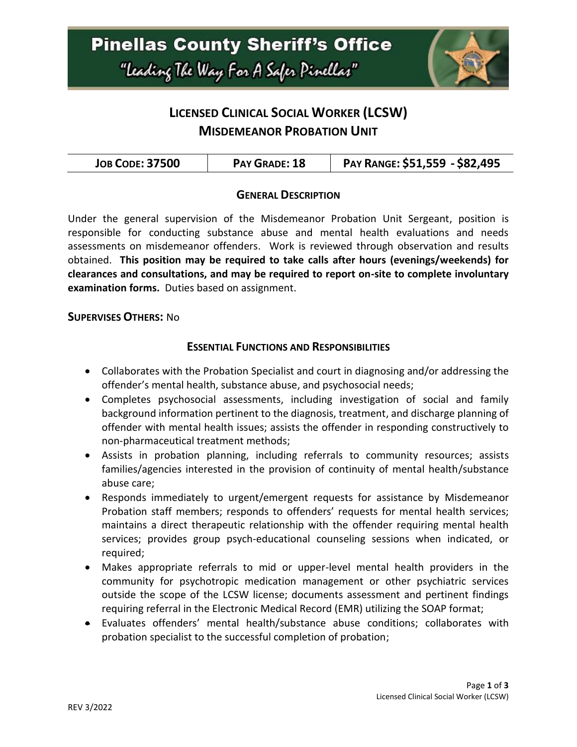

# **LICENSED CLINICAL SOCIAL WORKER (LCSW) MISDEMEANOR PROBATION UNIT**

#### **GENERAL DESCRIPTION**

Under the general supervision of the Misdemeanor Probation Unit Sergeant, position is responsible for conducting substance abuse and mental health evaluations and needs assessments on misdemeanor offenders. Work is reviewed through observation and results obtained. **This position may be required to take calls after hours (evenings/weekends) for clearances and consultations, and may be required to report on-site to complete involuntary examination forms.** Duties based on assignment.

#### **SUPERVISES OTHERS:** No

#### **ESSENTIAL FUNCTIONS AND RESPONSIBILITIES**

- Collaborates with the Probation Specialist and court in diagnosing and/or addressing the offender's mental health, substance abuse, and psychosocial needs;
- Completes psychosocial assessments, including investigation of social and family background information pertinent to the diagnosis, treatment, and discharge planning of offender with mental health issues; assists the offender in responding constructively to non-pharmaceutical treatment methods;
- Assists in probation planning, including referrals to community resources; assists families/agencies interested in the provision of continuity of mental health/substance abuse care;
- Responds immediately to urgent/emergent requests for assistance by Misdemeanor Probation staff members; responds to offenders' requests for mental health services; maintains a direct therapeutic relationship with the offender requiring mental health services; provides group psych-educational counseling sessions when indicated, or required;
- Makes appropriate referrals to mid or upper-level mental health providers in the community for psychotropic medication management or other psychiatric services outside the scope of the LCSW license; documents assessment and pertinent findings requiring referral in the Electronic Medical Record (EMR) utilizing the SOAP format;
- Evaluates offenders' mental health/substance abuse conditions; collaborates with probation specialist to the successful completion of probation;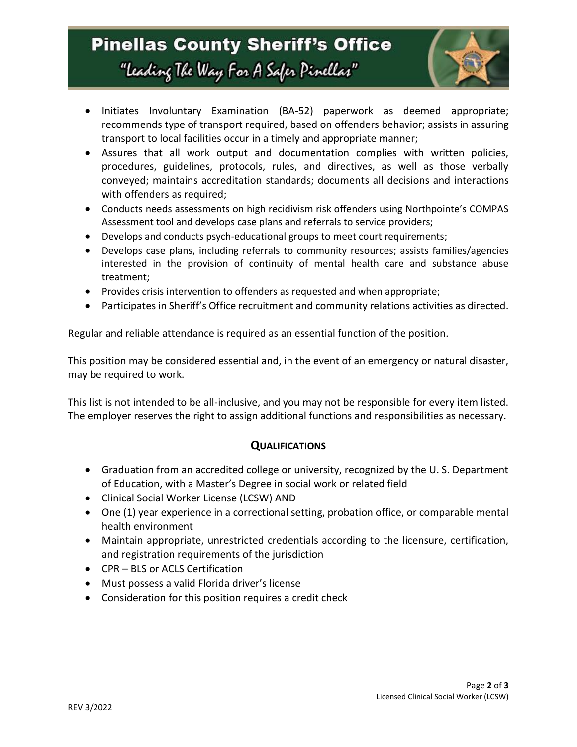

- Initiates Involuntary Examination (BA-52) paperwork as deemed appropriate; recommends type of transport required, based on offenders behavior; assists in assuring transport to local facilities occur in a timely and appropriate manner;
- Assures that all work output and documentation complies with written policies, procedures, guidelines, protocols, rules, and directives, as well as those verbally conveyed; maintains accreditation standards; documents all decisions and interactions with offenders as required;
- Conducts needs assessments on high recidivism risk offenders using Northpointe's COMPAS Assessment tool and develops case plans and referrals to service providers;
- Develops and conducts psych-educational groups to meet court requirements;
- Develops case plans, including referrals to community resources; assists families/agencies interested in the provision of continuity of mental health care and substance abuse treatment;
- Provides crisis intervention to offenders as requested and when appropriate;
- Participates in Sheriff's Office recruitment and community relations activities as directed.

Regular and reliable attendance is required as an essential function of the position.

This position may be considered essential and, in the event of an emergency or natural disaster, may be required to work.

This list is not intended to be all-inclusive, and you may not be responsible for every item listed. The employer reserves the right to assign additional functions and responsibilities as necessary.

#### **QUALIFICATIONS**

- Graduation from an accredited college or university, recognized by the U. S. Department of Education, with a Master's Degree in social work or related field
- Clinical Social Worker License (LCSW) AND
- One (1) year experience in a correctional setting, probation office, or comparable mental health environment
- Maintain appropriate, unrestricted credentials according to the licensure, certification, and registration requirements of the jurisdiction
- CPR BLS or ACLS Certification
- Must possess a valid Florida driver's license
- Consideration for this position requires a credit check